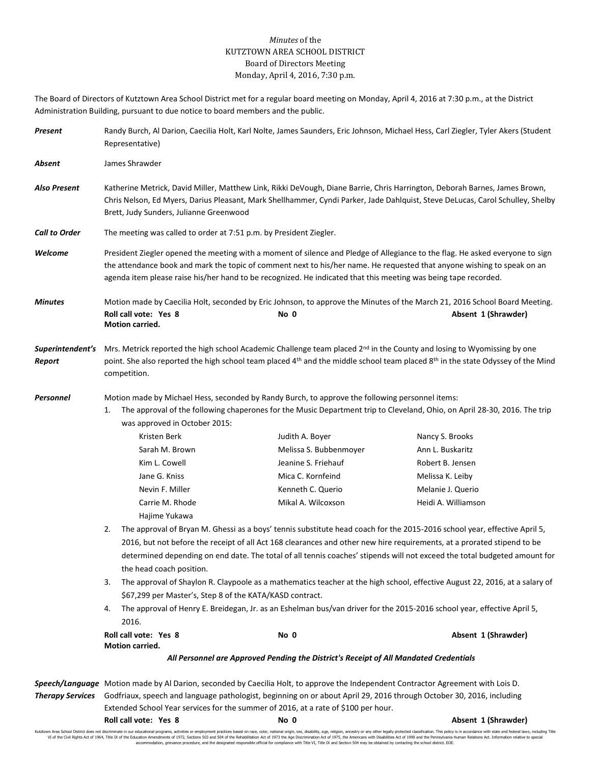## *Minutes* of the KUTZTOWN AREA SCHOOL DISTRICT Board of Directors Meeting Monday, April 4, 2016, 7:30 p.m.

The Board of Directors of Kutztown Area School District met for a regular board meeting on Monday, April 4, 2016 at 7:30 p.m., at the District Administration Building, pursuant to due notice to board members and the public.

| Present                    | Randy Burch, Al Darion, Caecilia Holt, Karl Nolte, James Saunders, Eric Johnson, Michael Hess, Carl Ziegler, Tyler Akers (Student<br>Representative)                                                                                                                                                                                                                        |                                                                                                                                                                                                                                                                                                                                                                                                                                                                                                                                                                                                                                                                                                                                                                                                                                                                                                                                                                                     |                                                                                                                                                                                                                                                                             |  |  |  |  |
|----------------------------|-----------------------------------------------------------------------------------------------------------------------------------------------------------------------------------------------------------------------------------------------------------------------------------------------------------------------------------------------------------------------------|-------------------------------------------------------------------------------------------------------------------------------------------------------------------------------------------------------------------------------------------------------------------------------------------------------------------------------------------------------------------------------------------------------------------------------------------------------------------------------------------------------------------------------------------------------------------------------------------------------------------------------------------------------------------------------------------------------------------------------------------------------------------------------------------------------------------------------------------------------------------------------------------------------------------------------------------------------------------------------------|-----------------------------------------------------------------------------------------------------------------------------------------------------------------------------------------------------------------------------------------------------------------------------|--|--|--|--|
| Absent                     | James Shrawder                                                                                                                                                                                                                                                                                                                                                              |                                                                                                                                                                                                                                                                                                                                                                                                                                                                                                                                                                                                                                                                                                                                                                                                                                                                                                                                                                                     |                                                                                                                                                                                                                                                                             |  |  |  |  |
| <b>Also Present</b>        | Katherine Metrick, David Miller, Matthew Link, Rikki DeVough, Diane Barrie, Chris Harrington, Deborah Barnes, James Brown,<br>Chris Nelson, Ed Myers, Darius Pleasant, Mark Shellhammer, Cyndi Parker, Jade Dahlquist, Steve DeLucas, Carol Schulley, Shelby<br>Brett, Judy Sunders, Julianne Greenwood                                                                     |                                                                                                                                                                                                                                                                                                                                                                                                                                                                                                                                                                                                                                                                                                                                                                                                                                                                                                                                                                                     |                                                                                                                                                                                                                                                                             |  |  |  |  |
| <b>Call to Order</b>       | The meeting was called to order at 7:51 p.m. by President Ziegler.                                                                                                                                                                                                                                                                                                          |                                                                                                                                                                                                                                                                                                                                                                                                                                                                                                                                                                                                                                                                                                                                                                                                                                                                                                                                                                                     |                                                                                                                                                                                                                                                                             |  |  |  |  |
| Welcome                    | President Ziegler opened the meeting with a moment of silence and Pledge of Allegiance to the flag. He asked everyone to sign<br>the attendance book and mark the topic of comment next to his/her name. He requested that anyone wishing to speak on an<br>agenda item please raise his/her hand to be recognized. He indicated that this meeting was being tape recorded. |                                                                                                                                                                                                                                                                                                                                                                                                                                                                                                                                                                                                                                                                                                                                                                                                                                                                                                                                                                                     |                                                                                                                                                                                                                                                                             |  |  |  |  |
| <b>Minutes</b>             | Roll call vote: Yes 8<br>Motion carried.                                                                                                                                                                                                                                                                                                                                    | Motion made by Caecilia Holt, seconded by Eric Johnson, to approve the Minutes of the March 21, 2016 School Board Meeting.<br>No 0                                                                                                                                                                                                                                                                                                                                                                                                                                                                                                                                                                                                                                                                                                                                                                                                                                                  | Absent 1 (Shrawder)                                                                                                                                                                                                                                                         |  |  |  |  |
| Superintendent's<br>Report | Mrs. Metrick reported the high school Academic Challenge team placed 2 <sup>nd</sup> in the County and losing to Wyomissing by one<br>point. She also reported the high school team placed 4 <sup>th</sup> and the middle school team placed 8 <sup>th</sup> in the state Odyssey of the Mind<br>competition.                                                               |                                                                                                                                                                                                                                                                                                                                                                                                                                                                                                                                                                                                                                                                                                                                                                                                                                                                                                                                                                                     |                                                                                                                                                                                                                                                                             |  |  |  |  |
| Personnel                  | 1.<br>was approved in October 2015:<br>Kristen Berk<br>Sarah M. Brown<br>Kim L. Cowell<br>Jane G. Kniss<br>Nevin F. Miller<br>Carrie M. Rhode<br>Hajime Yukawa<br>2.<br>the head coach position.<br>3.<br>\$67,299 per Master's, Step 8 of the KATA/KASD contract.<br>4.<br>2016.<br>Roll call vote: Yes 8<br>Motion carried.                                               | Motion made by Michael Hess, seconded by Randy Burch, to approve the following personnel items:<br>The approval of the following chaperones for the Music Department trip to Cleveland, Ohio, on April 28-30, 2016. The trip<br>Judith A. Boyer<br>Melissa S. Bubbenmoyer<br>Jeanine S. Friehauf<br>Mica C. Kornfeind<br>Kenneth C. Querio<br>Mikal A. Wilcoxson<br>The approval of Bryan M. Ghessi as a boys' tennis substitute head coach for the 2015-2016 school year, effective April 5,<br>2016, but not before the receipt of all Act 168 clearances and other new hire requirements, at a prorated stipend to be<br>The approval of Shaylon R. Claypoole as a mathematics teacher at the high school, effective August 22, 2016, at a salary of<br>The approval of Henry E. Breidegan, Jr. as an Eshelman bus/van driver for the 2015-2016 school year, effective April 5,<br>No 0<br>All Personnel are Approved Pending the District's Receipt of All Mandated Credentials | Nancy S. Brooks<br>Ann L. Buskaritz<br>Robert B. Jensen<br>Melissa K. Leiby<br>Melanie J. Querio<br>Heidi A. Williamson<br>determined depending on end date. The total of all tennis coaches' stipends will not exceed the total budgeted amount for<br>Absent 1 (Shrawder) |  |  |  |  |
|                            | Speech/Language Motion made by Al Darion, seconded by Caecilia Holt, to approve the Independent Contractor Agreement with Lois D.<br>Godfriaux, speech and language pathologist, beginning on or about April 29, 2016 through October 30, 2016, including                                                                                                                   |                                                                                                                                                                                                                                                                                                                                                                                                                                                                                                                                                                                                                                                                                                                                                                                                                                                                                                                                                                                     |                                                                                                                                                                                                                                                                             |  |  |  |  |
| <b>Therapy Services</b>    | Roll call vote: Yes 8                                                                                                                                                                                                                                                                                                                                                       | Extended School Year services for the summer of 2016, at a rate of \$100 per hour.<br>No 0                                                                                                                                                                                                                                                                                                                                                                                                                                                                                                                                                                                                                                                                                                                                                                                                                                                                                          | Absent 1 (Shrawder)                                                                                                                                                                                                                                                         |  |  |  |  |

Kutztown Area School District does not discriminate in our educational programs, activities or employment practices based on race, color, national origin, sex, disability, age, religion, ancestry or any other legally prot